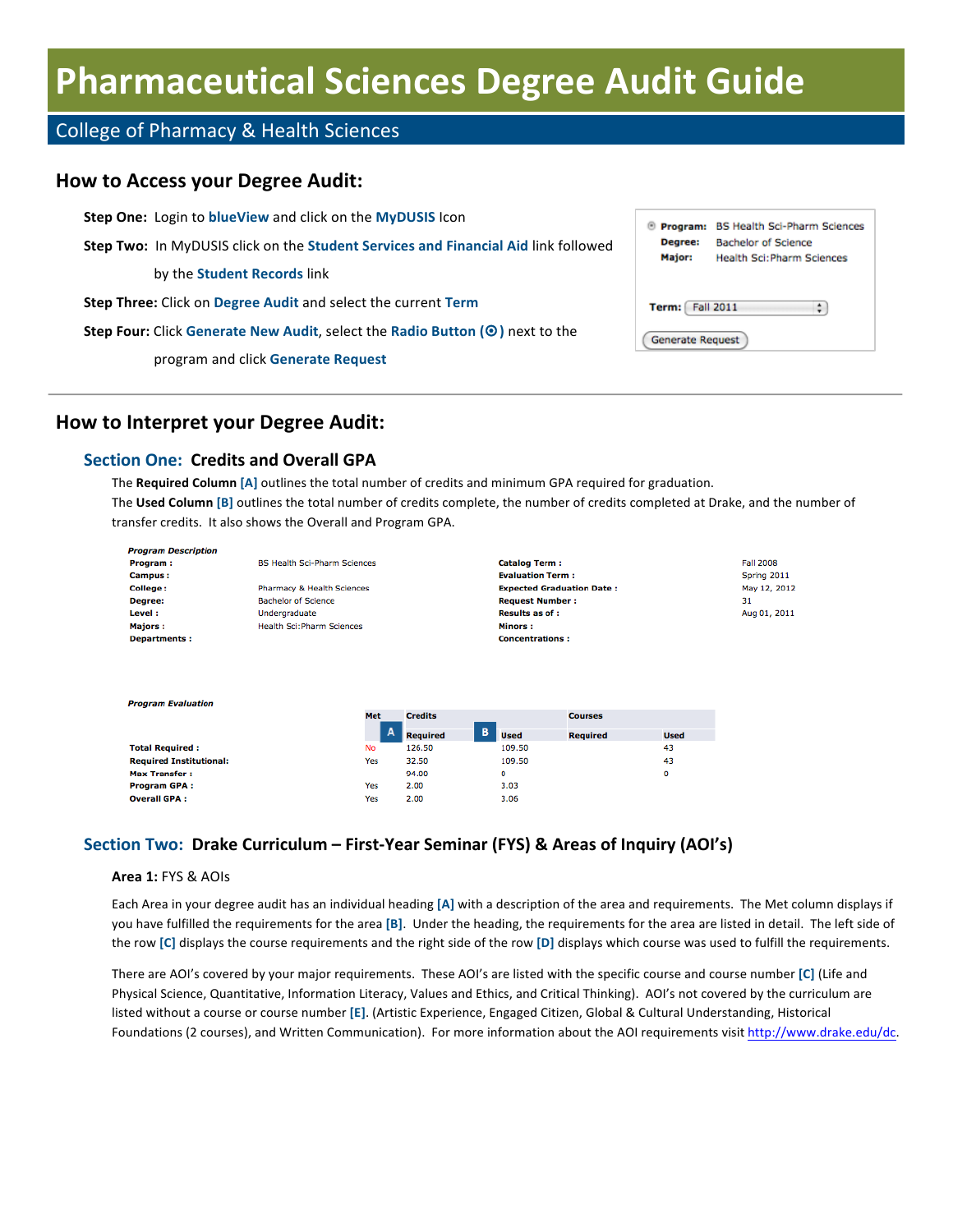# **Pharmaceutical Sciences Degree Audit Guide**

# College of Pharmacy & Health Sciences

# **How to Access your Degree Audit:**

| <b>Step One: Login to blueView and click on the MyDUSIS Icon</b>                                 |                         | <sup>®</sup> Program: BS Health Sci-Pharm Sciences              |
|--------------------------------------------------------------------------------------------------|-------------------------|-----------------------------------------------------------------|
| <b>Step Two:</b> In MyDUSIS click on the <b>Student Services and Financial Aid link followed</b> | Degree:<br>Major:       | <b>Bachelor of Science</b><br><b>Health Sci: Pharm Sciences</b> |
| by the <b>Student Records</b> link                                                               |                         |                                                                 |
| Step Three: Click on Degree Audit and select the current Term                                    | <b>Term:</b> Fall 2011  | ÷                                                               |
| Step Four: Click Generate New Audit, select the Radio Button (O) next to the                     | <b>Generate Request</b> |                                                                 |
| program and click Generate Request                                                               |                         |                                                                 |

# **How to Interpret your Degree Audit:**

### **Section One: Credits and Overall GPA**

The Required Column [A] outlines the total number of credits and minimum GPA required for graduation. The Used Column [B] outlines the total number of credits complete, the number of credits completed at Drake, and the number of transfer credits. It also shows the Overall and Program GPA.

| <b>Program Description</b>     |                                     |     |                 |   |                                  |                 |             |                  |
|--------------------------------|-------------------------------------|-----|-----------------|---|----------------------------------|-----------------|-------------|------------------|
| Program:                       | <b>BS Health Sci-Pharm Sciences</b> |     |                 |   | <b>Catalog Term:</b>             |                 |             | <b>Fall 2008</b> |
| <b>Campus:</b>                 |                                     |     |                 |   | <b>Evaluation Term:</b>          |                 |             | Spring 2011      |
| College:                       | Pharmacy & Health Sciences          |     |                 |   | <b>Expected Graduation Date:</b> |                 |             | May 12, 2012     |
| Degree:                        | <b>Bachelor of Science</b>          |     |                 |   | <b>Request Number:</b>           |                 |             | 31               |
| Level:                         | Undergraduate                       |     |                 |   | <b>Results as of:</b>            |                 |             | Aug 01, 2011     |
| <b>Majors:</b>                 | <b>Health Sci: Pharm Sciences</b>   |     |                 |   | Minors:                          |                 |             |                  |
| <b>Departments:</b>            |                                     |     |                 |   | <b>Concentrations:</b>           |                 |             |                  |
| <b>Program Evaluation</b>      |                                     | Met | <b>Credits</b>  |   |                                  | <b>Courses</b>  |             |                  |
|                                |                                     | A   | <b>Required</b> | в | <b>Used</b>                      | <b>Required</b> | <b>Used</b> |                  |
| <b>Total Required:</b>         |                                     | No  | 126.50          |   | 109.50                           |                 | 43          |                  |
| <b>Required Institutional:</b> |                                     | Yes | 32.50           |   | 109.50                           |                 | 43          |                  |
| <b>Max Transfer:</b>           |                                     |     | 94.00           |   | 0                                |                 | o           |                  |
| <b>Program GPA:</b>            |                                     | Yes | 2.00            |   | 3.03                             |                 |             |                  |
| <b>Overall GPA:</b>            |                                     | Yes | 2.00            |   | 3.06                             |                 |             |                  |

# **Section Two: Drake Curriculum – First-Year Seminar (FYS) & Areas of Inquiry (AOI's)**

#### **Area 1: FYS & AOIs**

Each Area in your degree audit has an individual heading [A] with a description of the area and requirements. The Met column displays if you have fulfilled the requirements for the area [B]. Under the heading, the requirements for the area are listed in detail. The left side of the row [C] displays the course requirements and the right side of the row [D] displays which course was used to fulfill the requirements.

There are AOI's covered by your major requirements. These AOI's are listed with the specific course and course number [C] (Life and Physical Science, Quantitative, Information Literacy, Values and Ethics, and Critical Thinking). AOI's not covered by the curriculum are listed without a course or course number [E]. (Artistic Experience, Engaged Citizen, Global & Cultural Understanding, Historical Foundations (2 courses), and Written Communication). For more information about the AOI requirements visit http://www.drake.edu/dc.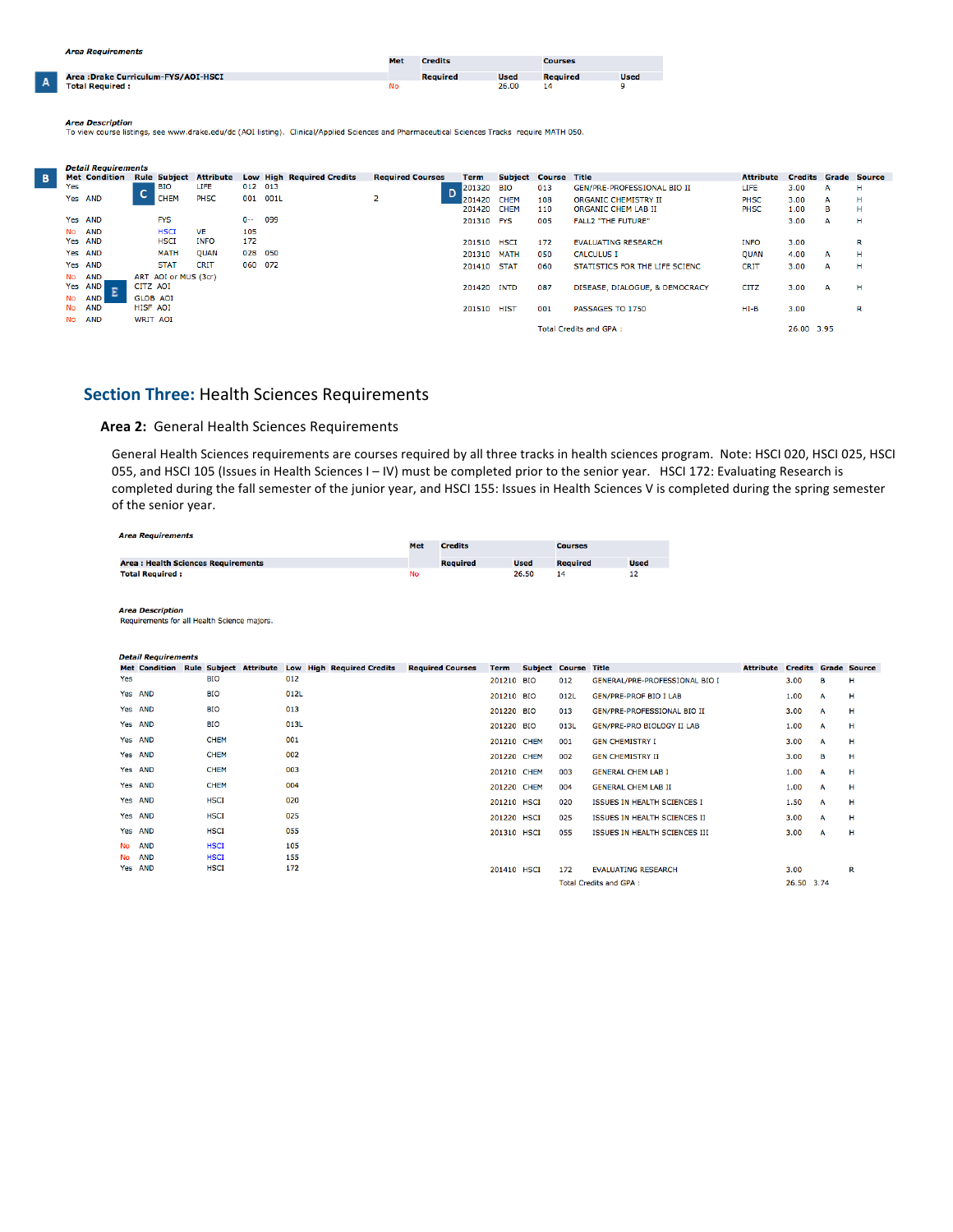A

|                                      | Met | <b>Credits</b>  |             | <b>Courses</b>  |             |  |
|--------------------------------------|-----|-----------------|-------------|-----------------|-------------|--|
| Area : Drake Curriculum-FYS/AOI-HSCI |     | <b>Required</b> | <b>Used</b> | <b>Required</b> | <b>Used</b> |  |
| <b>Total Required:</b>               | No  |                 | 26.00       | 14              |             |  |

Area Description<br>To view course listings, see www.drake.edu/dc (AOI listing). Clinical/Applied Sciences and Pharmaceutical Sciences Tracks require MATH 050.

|     | <b>Detail Requirements</b><br><b>Met Condition</b><br><b>Rule Subject</b><br>LIFE<br>l BIO<br>c<br><b>CHEM</b><br><b>PHSC</b><br>Yes AND<br><b>FYS</b><br>Yes AND<br><b>AND</b><br><b>HSCI</b><br><b>VE</b><br><b>HSCI</b><br><b>INFO</b><br>Yes AND<br><b>MATH</b><br>Yes AND<br><b>OUAN</b><br><b>CRIT</b><br><b>STAT</b><br>Yes AND<br><b>AND</b><br>ART AOI or MUS (3cr)<br>CITZ AOI<br>Yes AND |                 |  |                  |         |      |                                  |                         |             |                       |     |                                |                  |                |   |                     |
|-----|-----------------------------------------------------------------------------------------------------------------------------------------------------------------------------------------------------------------------------------------------------------------------------------------------------------------------------------------------------------------------------------------------------|-----------------|--|------------------|---------|------|----------------------------------|-------------------------|-------------|-----------------------|-----|--------------------------------|------------------|----------------|---|---------------------|
|     |                                                                                                                                                                                                                                                                                                                                                                                                     |                 |  | <b>Attribute</b> |         |      | <b>Low High Required Credits</b> | <b>Required Courses</b> | <b>Term</b> | <b>Subject Course</b> |     | Title                          | <b>Attribute</b> | <b>Credits</b> |   | <b>Grade Source</b> |
| Yes |                                                                                                                                                                                                                                                                                                                                                                                                     |                 |  |                  | 012 013 |      |                                  |                         | 201320 BIO  |                       | 013 | GEN/PRE-PROFESSIONAL BIO II    | LIFE             | 3.00           | А | н                   |
|     |                                                                                                                                                                                                                                                                                                                                                                                                     |                 |  |                  | 001     | 001L |                                  | z                       | 201420      | <b>CHEM</b>           | 108 | ORGANIC CHEMISTRY II           | <b>PHSC</b>      | 3.00           | А | н                   |
|     |                                                                                                                                                                                                                                                                                                                                                                                                     |                 |  |                  |         |      |                                  |                         | 201420      | <b>CHEM</b>           | 110 | ORGANIC CHEM LAB II            | PHSC             | 1.00           | в | н                   |
|     |                                                                                                                                                                                                                                                                                                                                                                                                     |                 |  |                  | $0-$    | 099  |                                  |                         | 201310 FYS  |                       | 005 | <b>FALL2 "THE FUTURE"</b>      |                  | 3.00           | А | н                   |
| No. |                                                                                                                                                                                                                                                                                                                                                                                                     |                 |  |                  | 105     |      |                                  |                         |             |                       |     |                                |                  |                |   |                     |
|     |                                                                                                                                                                                                                                                                                                                                                                                                     |                 |  |                  | 172     |      |                                  |                         | 201510 HSCI |                       | 172 | <b>EVALUATING RESEARCH</b>     | <b>INFO</b>      | 3.00           |   | R                   |
|     |                                                                                                                                                                                                                                                                                                                                                                                                     |                 |  |                  | 028 050 |      |                                  |                         | 201310 MATH |                       | 050 | <b>CALCULUS I</b>              | <b>QUAN</b>      | 4.00           | A | н                   |
|     |                                                                                                                                                                                                                                                                                                                                                                                                     |                 |  |                  | 060 072 |      |                                  |                         | 201410 STAT |                       | 060 | STATISTICS FOR THE LIFE SCIENC | <b>CRIT</b>      | 3.00           | A | н                   |
| No  |                                                                                                                                                                                                                                                                                                                                                                                                     |                 |  |                  |         |      |                                  |                         |             |                       |     |                                |                  |                |   |                     |
|     |                                                                                                                                                                                                                                                                                                                                                                                                     |                 |  |                  |         |      |                                  |                         | 201420 INTD |                       | 087 | DISEASE, DIALOGUE, & DEMOCRACY | <b>CITZ</b>      | 3.00           | A | н                   |
| No  | <b>AND</b>                                                                                                                                                                                                                                                                                                                                                                                          | <b>GLOB AOI</b> |  |                  |         |      |                                  |                         |             |                       |     |                                |                  |                |   |                     |
| No  | <b>AND</b>                                                                                                                                                                                                                                                                                                                                                                                          | HISF AOI        |  |                  |         |      |                                  |                         | 201510 HIST |                       | 001 | PASSAGES TO 1750               | HI-B             | 3.00           |   | R                   |
| No  | <b>AND</b>                                                                                                                                                                                                                                                                                                                                                                                          | <b>WRIT AOI</b> |  |                  |         |      |                                  |                         |             |                       |     |                                |                  |                |   |                     |
|     |                                                                                                                                                                                                                                                                                                                                                                                                     |                 |  |                  |         |      |                                  |                         |             |                       |     | <b>Total Credits and GPA:</b>  |                  | 26.00 3.95     |   |                     |
|     |                                                                                                                                                                                                                                                                                                                                                                                                     |                 |  |                  |         |      |                                  |                         |             |                       |     |                                |                  |                |   |                     |

#### **Section Three:** Health Sciences Requirements

#### Area 2: General Health Sciences Requirements

General Health Sciences requirements are courses required by all three tracks in health sciences program. Note: HSCI 020, HSCI 025, HSCI 055, and HSCI 105 (Issues in Health Sciences I - IV) must be completed prior to the senior year. HSCI 172: Evaluating Research is completed during the fall semester of the junior year, and HSCI 155: Issues in Health Sciences V is completed during the spring semester of the senior year.

| <b>Area Requirements</b>                  |     |                 |             |                 |             |
|-------------------------------------------|-----|-----------------|-------------|-----------------|-------------|
|                                           | Met | <b>Credits</b>  |             | <b>Courses</b>  |             |
| <b>Area: Health Sciences Requirements</b> |     | <b>Required</b> | <b>Used</b> | <b>Required</b> | <b>Used</b> |
| <b>Total Required:</b>                    | No  |                 | 26.50       | 14              |             |

**Area Description** 

Requirements for all Health Science majors.

| <b>Detail Requirements</b> |  |
|----------------------------|--|
|----------------------------|--|

|     | <b>Met Condition</b> |             |      | Rule Subject Attribute Low High Required Credits | <b>Required Courses</b> | <b>Term</b> | <b>Subject Course Title</b> |      |                                    | <b>Attribute Credits Grade Source</b> |            |   |   |
|-----|----------------------|-------------|------|--------------------------------------------------|-------------------------|-------------|-----------------------------|------|------------------------------------|---------------------------------------|------------|---|---|
| Yes |                      | <b>BIO</b>  | 012  |                                                  |                         | 201210 BIO  |                             | 012  | GENERAL/PRE-PROFESSIONAL BIO I     |                                       | 3.00       | в | н |
|     | Yes AND              | <b>BIO</b>  | 012L |                                                  |                         | 201210 BIO  |                             | 012L | <b>GEN/PRE-PROF BIO I LAB</b>      |                                       | 1.00       | A | н |
|     | Yes AND              | <b>BIO</b>  | 013  |                                                  |                         | 201220 BIO  |                             | 013  | <b>GEN/PRE-PROFESSIONAL BIO II</b> |                                       | 3.00       | A | н |
|     | Yes AND              | <b>BIO</b>  | 013L |                                                  |                         | 201220 BIO  |                             | 013L | <b>GEN/PRE-PRO BIOLOGY II LAB</b>  |                                       | 1.00       | A | н |
|     | Yes AND              | <b>CHEM</b> | 001  |                                                  |                         | 201210 CHEM |                             | 001  | <b>GEN CHEMISTRY I</b>             |                                       | 3.00       | A | н |
|     | Yes AND              | <b>CHEM</b> | 002  |                                                  |                         | 201220 CHEM |                             | 002  | <b>GEN CHEMISTRY II</b>            |                                       | 3.00       | в | н |
|     | Yes AND              | <b>CHEM</b> | 003  |                                                  |                         | 201210 CHEM |                             | 003  | <b>GENERAL CHEM LAB I</b>          |                                       | 1.00       | A | н |
|     | Yes AND              | <b>CHEM</b> | 004  |                                                  |                         | 201220 CHEM |                             | 004  | <b>GENERAL CHEM LAB II</b>         |                                       | 1.00       | A | н |
|     | Yes AND              | <b>HSCI</b> | 020  |                                                  |                         | 201210 HSCI |                             | 020  | <b>ISSUES IN HEALTH SCIENCES I</b> |                                       | 1.50       | A | н |
|     | Yes AND              | <b>HSCI</b> | 025  |                                                  |                         | 201220 HSCI |                             | 025  | ISSUES IN HEALTH SCIENCES II       |                                       | 3.00       | A | н |
|     | Yes AND              | <b>HSCI</b> | 055  |                                                  |                         | 201310 HSCI |                             | 055  | ISSUES IN HEALTH SCIENCES III      |                                       | 3.00       | A | н |
|     | No AND               | <b>HSCI</b> | 105  |                                                  |                         |             |                             |      |                                    |                                       |            |   |   |
|     | No AND               | <b>HSCI</b> | 155  |                                                  |                         |             |                             |      |                                    |                                       |            |   |   |
|     | Yes AND              | <b>HSCI</b> | 172  |                                                  |                         | 201410 HSCI |                             | 172  | <b>EVALUATING RESEARCH</b>         |                                       | 3.00       |   | R |
|     |                      |             |      |                                                  |                         |             |                             |      | <b>Total Credits and GPA:</b>      |                                       | 26.50 3.74 |   |   |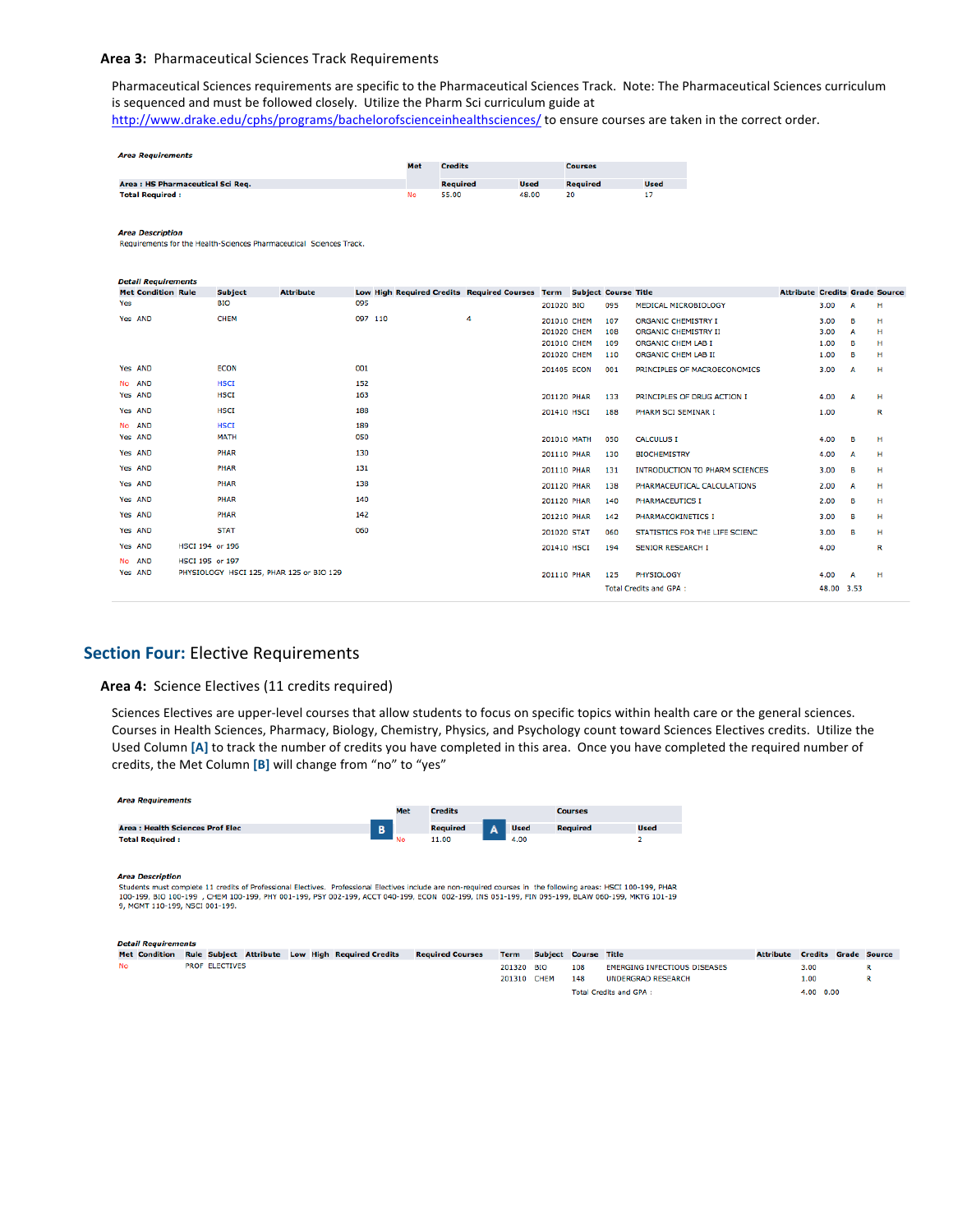#### Area 3: Pharmaceutical Sciences Track Requirements

Pharmaceutical Sciences requirements are specific to the Pharmaceutical Sciences Track. Note: The Pharmaceutical Sciences curriculum is sequenced and must be followed closely. Utilize the Pharm Sci curriculum guide at

http://www.drake.edu/cphs/programs/bachelorofscienceinhealthsciences/ to ensure courses are taken in the correct order.

| Met | <b>Credits</b> |             | <b>Courses</b>  |             |  |  |
|-----|----------------|-------------|-----------------|-------------|--|--|
|     | Required       | <b>Used</b> | <b>Required</b> | <b>Used</b> |  |  |
| No  | 55.00          | 48.00       | 20              |             |  |  |
|     |                |             |                 |             |  |  |

**Area Description** 

Requirements for the Health-Sciences Pharmaceutical Sciences Track

| <b>Detail Requirements</b> |                 |                |                                          |                                                                      |   |             |     |                                 |                                       |            |              |   |
|----------------------------|-----------------|----------------|------------------------------------------|----------------------------------------------------------------------|---|-------------|-----|---------------------------------|---------------------------------------|------------|--------------|---|
| <b>Met Condition Rule</b>  |                 | <b>Subject</b> | <b>Attribute</b>                         | Low High Required Credits Required Courses Term Subject Course Title |   |             |     |                                 | <b>Attribute Credits Grade Source</b> |            |              |   |
| Yes                        |                 | <b>BIO</b>     |                                          | 095                                                                  |   | 201020 BIO  | 095 | MEDICAL MICROBIOLOGY            |                                       | 3.00       | A            | н |
| Yes AND                    |                 | CHEM           |                                          | 097 110                                                              | 4 | 201010 CHEM | 107 | <b>ORGANIC CHEMISTRY I</b>      |                                       | 3.00       | в            | н |
|                            |                 |                |                                          |                                                                      |   | 201020 CHEM | 108 | <b>ORGANIC CHEMISTRY II</b>     |                                       | 3.00       | A            | н |
|                            |                 |                |                                          |                                                                      |   | 201010 CHEM | 109 | ORGANIC CHEM LAB I              |                                       | 1.00       | в            | н |
|                            |                 |                |                                          |                                                                      |   | 201020 CHEM | 110 | ORGANIC CHEM LAB II             |                                       | 1.00       | в            | н |
| Yes AND                    |                 | <b>ECON</b>    |                                          | 001                                                                  |   | 201405 ECON | 001 | PRINCIPLES OF MACROECONOMICS    |                                       | 3.00       | $\mathbf{A}$ | н |
| No AND                     |                 | <b>HSCI</b>    |                                          | 152                                                                  |   |             |     |                                 |                                       |            |              |   |
| Yes AND                    |                 | <b>HSCI</b>    |                                          | 163                                                                  |   | 201120 PHAR | 133 | PRINCIPLES OF DRUG ACTION I     |                                       | 4.00       | A            | н |
| Yes AND                    |                 | <b>HSCI</b>    |                                          | 188                                                                  |   | 201410 HSCI | 188 | PHARM SCI SEMINAR I             |                                       | 1.00       |              | R |
| No AND                     |                 | <b>HSCI</b>    |                                          | 189                                                                  |   |             |     |                                 |                                       |            |              |   |
| Yes AND                    |                 | <b>MATH</b>    |                                          | 050                                                                  |   | 201010 MATH | 050 | <b>CALCULUS I</b>               |                                       | 4.00       | в            | н |
| Yes AND                    |                 | <b>PHAR</b>    |                                          | 130                                                                  |   | 201110 PHAR | 130 | <b>BIOCHEMISTRY</b>             |                                       | 4.00       | A            | н |
| Yes AND                    |                 | PHAR           |                                          | 131                                                                  |   | 201110 PHAR | 131 | INTRODUCTION TO PHARM SCIENCES  |                                       | 3.00       | в            | н |
| Yes AND                    |                 | <b>PHAR</b>    |                                          | 138                                                                  |   | 201120 PHAR | 138 | PHARMACEUTICAL CALCULATIONS     |                                       | 2.00       | A            | н |
| Yes AND                    |                 | <b>PHAR</b>    |                                          | 140                                                                  |   | 201120 PHAR | 140 | PHARMACEUTICS I                 |                                       | 2.00       | в            | н |
| Yes AND                    |                 | PHAR           |                                          | 142                                                                  |   | 201210 PHAR | 142 | PHARMACOKINETICS I              |                                       | 3.00       | в            | н |
| Yes AND                    |                 | <b>STAT</b>    |                                          | 060                                                                  |   | 201020 STAT | 060 | STATISTICS FOR THE LIFE SCIENC. |                                       | 3.00       | в            | н |
| Yes AND                    | HSCI 194 or 196 |                |                                          |                                                                      |   | 201410 HSCI | 194 | <b>SENIOR RESEARCH I</b>        |                                       | 4.00       |              | R |
| No AND                     | HSCI 195 or 197 |                |                                          |                                                                      |   |             |     |                                 |                                       |            |              |   |
| Yes AND                    |                 |                | PHYSIOLOGY HSCI 125, PHAR 125 or BIO 129 |                                                                      |   | 201110 PHAR | 125 | PHYSIOLOGY                      |                                       | 4.00       | A            | н |
|                            |                 |                |                                          |                                                                      |   |             |     | <b>Total Credits and GPA:</b>   |                                       | 48.00 3.53 |              |   |

### **Section Four: Elective Requirements**

#### Area 4: Science Electives (11 credits required)

Sciences Electives are upper-level courses that allow students to focus on specific topics within health care or the general sciences. Courses in Health Sciences, Pharmacy, Biology, Chemistry, Physics, and Psychology count toward Sciences Electives credits. Utilize the Used Column [A] to track the number of credits you have completed in this area. Once you have completed the required number of credits, the Met Column [B] will change from "no" to "yes"

**Attribute Credits Grade Source** 

R

R

3.00

 $1.00$ 

 $4.00 \t 0.00$